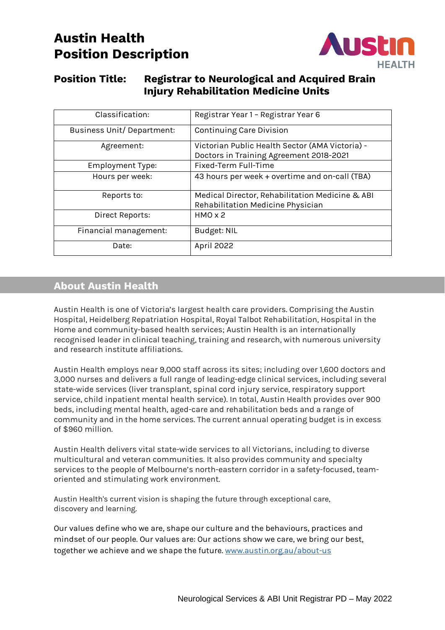# **Austin Health Position Description**



## **Position Title: Registrar to Neurological and Acquired Brain Injury Rehabilitation Medicine Units**

| Classification:                   | Registrar Year 1 - Registrar Year 6                                                        |
|-----------------------------------|--------------------------------------------------------------------------------------------|
| <b>Business Unit/ Department:</b> | <b>Continuing Care Division</b>                                                            |
| Agreement:                        | Victorian Public Health Sector (AMA Victoria) -<br>Doctors in Training Agreement 2018-2021 |
| <b>Employment Type:</b>           | Fixed-Term Full-Time                                                                       |
| Hours per week:                   | 43 hours per week + overtime and on-call (TBA)                                             |
| Reports to:                       | Medical Director, Rehabilitation Medicine & ABI<br>Rehabilitation Medicine Physician       |
| Direct Reports:                   | HMOX2                                                                                      |
| Financial management:             | <b>Budget: NIL</b>                                                                         |
| Date:                             | <b>April 2022</b>                                                                          |

## **About Austin Health**

Austin Health is one of Victoria's largest health care providers. Comprising the Austin Hospital, Heidelberg Repatriation Hospital, Royal Talbot Rehabilitation, Hospital in the Home and community-based health services; Austin Health is an internationally recognised leader in clinical teaching, training and research, with numerous university and research institute affiliations.

Austin Health employs near 9,000 staff across its sites; including over 1,600 doctors and 3,000 nurses and delivers a full range of leading-edge clinical services, including several state-wide services (liver transplant, spinal cord injury service, respiratory support service, child inpatient mental health service). In total, Austin Health provides over 900 beds, including mental health, aged-care and rehabilitation beds and a range of community and in the home services. The current annual operating budget is in excess of \$960 million.

Austin Health delivers vital state-wide services to all Victorians, including to diverse multicultural and veteran communities. It also provides community and specialty services to the people of Melbourne's north-eastern corridor in a safety-focused, teamoriented and stimulating work environment.

Austin Health's current vision is shaping the future through exceptional care, discovery and learning.

Our values define who we are, shape our culture and the behaviours, practices and mindset of our people. Our values are: Our actions show we care, we bring our best, together we achieve and we shape the future. [www.austin.org.au/about-us](http://www.austin.org.au/about-us)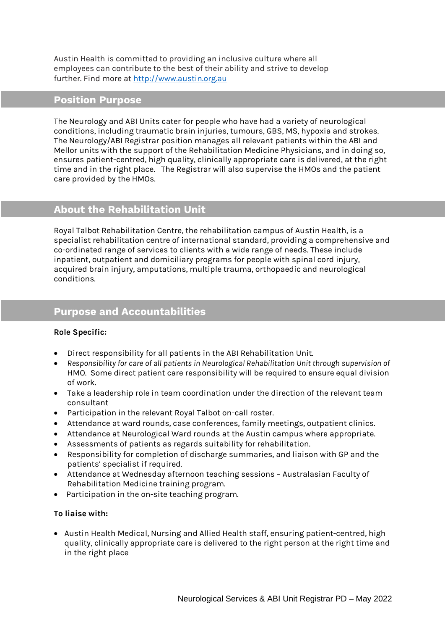Austin Health is committed to providing an inclusive culture where all employees can contribute to the best of their ability and strive to develop further. Find more at [http://www.austin.org.au](http://www.austin.org.au/) 

## **Position Purpose**

The Neurology and ABI Units cater for people who have had a variety of neurological conditions, including traumatic brain injuries, tumours, GBS, MS, hypoxia and strokes. The Neurology/ABI Registrar position manages all relevant patients within the ABI and Mellor units with the support of the Rehabilitation Medicine Physicians, and in doing so, ensures patient-centred, high quality, clinically appropriate care is delivered, at the right time and in the right place. The Registrar will also supervise the HMOs and the patient care provided by the HMOs.

## **About the Rehabilitation Unit**

Royal Talbot Rehabilitation Centre, the rehabilitation campus of Austin Health, is a specialist rehabilitation centre of international standard, providing a comprehensive and co-ordinated range of services to clients with a wide range of needs. These include inpatient, outpatient and domiciliary programs for people with spinal cord injury, acquired brain injury, amputations, multiple trauma, orthopaedic and neurological conditions.

## **Purpose and Accountabilities**

### **Role Specific:**

- Direct responsibility for all patients in the ABI Rehabilitation Unit.
- *Responsibility for care of all patients in Neurological Rehabilitation Unit through supervision of* HMO. Some direct patient care responsibility will be required to ensure equal division of work.
- Take a leadership role in team coordination under the direction of the relevant team consultant
- Participation in the relevant Royal Talbot on-call roster.
- Attendance at ward rounds, case conferences, family meetings, outpatient clinics.
- Attendance at Neurological Ward rounds at the Austin campus where appropriate.
- Assessments of patients as regards suitability for rehabilitation.
- Responsibility for completion of discharge summaries, and liaison with GP and the patients' specialist if required.
- Attendance at Wednesday afternoon teaching sessions Australasian Faculty of Rehabilitation Medicine training program.
- Participation in the on-site teaching program.

#### **To liaise with:**

• Austin Health Medical, Nursing and Allied Health staff, ensuring patient-centred, high quality, clinically appropriate care is delivered to the right person at the right time and in the right place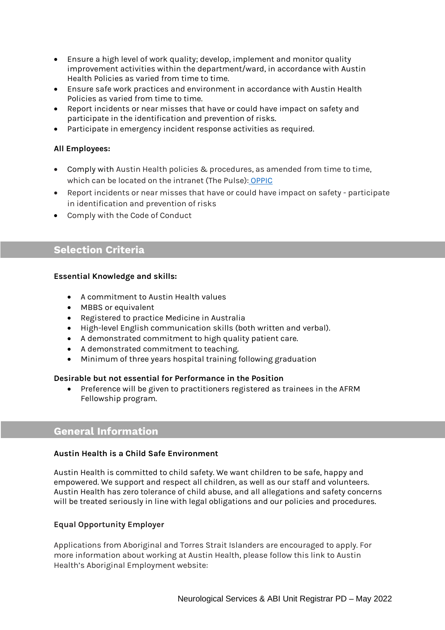- Ensure a high level of work quality; develop, implement and monitor quality improvement activities within the department/ward, in accordance with Austin Health Policies as varied from time to time.
- Ensure safe work practices and environment in accordance with Austin Health Policies as varied from time to time.
- Report incidents or near misses that have or could have impact on safety and participate in the identification and prevention of risks.
- Participate in emergency incident response activities as required.

### **All Employees:**

- Comply with Austin Health policies & procedures, as amended from time to time, which can be located on the intranet (The Pulse): [OPPIC](https://austinhealth.sharepoint.com/sites/OPPIC)
- Report incidents or near misses that have or could have impact on safety participate in identification and prevention of risks
- Comply with the Code of Conduct

## **Selection Criteria**

### **Essential Knowledge and skills:**

- A commitment to Austin Health values
- MBBS or equivalent
- Registered to practice Medicine in Australia
- High-level English communication skills (both written and verbal).
- A demonstrated commitment to high quality patient care.
- A demonstrated commitment to teaching.
- Minimum of three years hospital training following graduation

#### **Desirable but not essential for Performance in the Position**

• Preference will be given to practitioners registered as trainees in the AFRM Fellowship program.

## **General Information**

#### **Austin Health is a Child Safe Environment**

Austin Health is committed to child safety. We want children to be safe, happy and empowered. We support and respect all children, as well as our staff and volunteers. Austin Health has zero tolerance of child abuse, and all allegations and safety concerns will be treated seriously in line with legal obligations and our policies and procedures.

### **Equal Opportunity Employer**

Applications from Aboriginal and Torres Strait Islanders are encouraged to apply. For more information about working at Austin Health, please follow this link to Austin Health's Aboriginal Employment website: